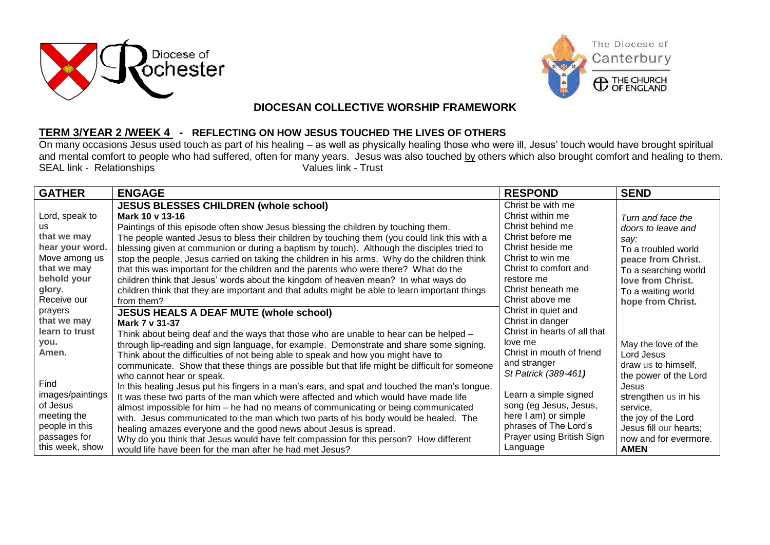



## **DIOCESAN COLLECTIVE WORSHIP FRAMEWORK**

## **TERM 3/YEAR 2 /WEEK 4 - REFLECTING ON HOW JESUS TOUCHED THE LIVES OF OTHERS**

On many occasions Jesus used touch as part of his healing – as well as physically healing those who were ill, Jesus' touch would have brought spiritual and mental comfort to people who had suffered, often for many years. Jesus was also touched by others which also brought comfort and healing to them.<br>Values link - Trust<br>Values link - Trust SEAL link - Relationships

| <b>GATHER</b>    | <b>ENGAGE</b>                                                                                  | <b>RESPOND</b>               | <b>SEND</b>            |
|------------------|------------------------------------------------------------------------------------------------|------------------------------|------------------------|
|                  | <b>JESUS BLESSES CHILDREN (whole school)</b>                                                   | Christ be with me            |                        |
| Lord, speak to   | Mark 10 v 13-16                                                                                | Christ within me             | Turn and face the      |
| us.              | Paintings of this episode often show Jesus blessing the children by touching them.             | Christ behind me             | doors to leave and     |
| that we may      | The people wanted Jesus to bless their children by touching them (you could link this with a   | Christ before me             | say:                   |
| hear your word.  | blessing given at communion or during a baptism by touch). Although the disciples tried to     | Christ beside me             | To a troubled world    |
| Move among us    | stop the people, Jesus carried on taking the children in his arms. Why do the children think   | Christ to win me             | peace from Christ.     |
| that we may      | that this was important for the children and the parents who were there? What do the           | Christ to comfort and        | To a searching world   |
| behold your      | children think that Jesus' words about the kingdom of heaven mean? In what ways do             | restore me                   | love from Christ.      |
| glory.           | children think that they are important and that adults might be able to learn important things | Christ beneath me            | To a waiting world     |
| Receive our      | from them?                                                                                     | Christ above me              | hope from Christ.      |
| prayers          | <b>JESUS HEALS A DEAF MUTE (whole school)</b>                                                  | Christ in quiet and          |                        |
| that we may      | Mark 7 v 31-37                                                                                 | Christ in danger             |                        |
| learn to trust   | Think about being deaf and the ways that those who are unable to hear can be helped -          | Christ in hearts of all that |                        |
| you.             | through lip-reading and sign language, for example. Demonstrate and share some signing.        | love me                      | May the love of the    |
| Amen.            | Think about the difficulties of not being able to speak and how you might have to              | Christ in mouth of friend    | Lord Jesus             |
|                  | communicate. Show that these things are possible but that life might be difficult for someone  | and stranger                 | draw us to himself,    |
|                  | who cannot hear or speak.                                                                      | St Patrick (389-461)         | the power of the Lord  |
| Find             | In this healing Jesus put his fingers in a man's ears, and spat and touched the man's tongue.  |                              | Jesus                  |
| images/paintings | It was these two parts of the man which were affected and which would have made life           | Learn a simple signed        | strengthen us in his   |
| of Jesus         | almost impossible for him – he had no means of communicating or being communicated             | song (eg Jesus, Jesus,       | service,               |
| meeting the      | with. Jesus communicated to the man which two parts of his body would be healed. The           | here I am) or simple         | the joy of the Lord    |
| people in this   | healing amazes everyone and the good news about Jesus is spread.                               | phrases of The Lord's        | Jesus fill our hearts; |
| passages for     | Why do you think that Jesus would have felt compassion for this person? How different          | Prayer using British Sign    | now and for evermore.  |
| this week, show  | would life have been for the man after he had met Jesus?                                       | Language                     | <b>AMEN</b>            |